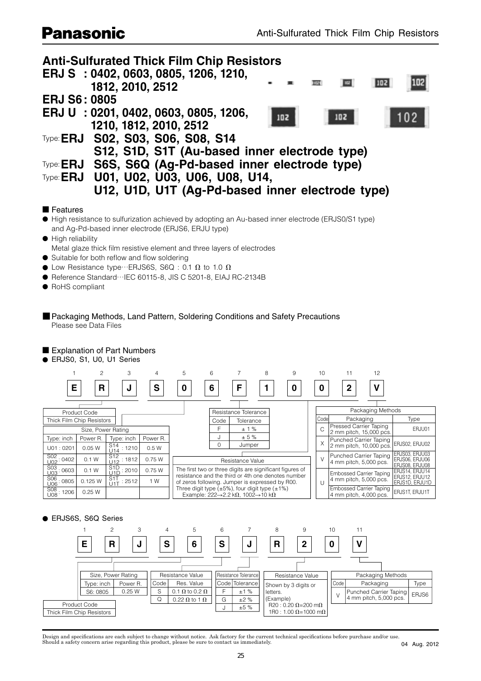# **Panasonic**



## ■ Features

● High resistance to sulfurization achieved by adopting an Au-based inner electrode (ERJS0/S1 type) and Ag-Pd-based inner electrode (ERJS6, ERJU type)

● High reliability

Metal glaze thick film resistive element and three layers of electrodes

- $\bullet$  Suitable for both reflow and flow soldering
- $\bullet$  Low Resistance type…ERJS6S, S6Q : 0.1  $\Omega$  to 1.0  $\Omega$
- Reference Standard…IEC 60115-8, JIS C 5201-8, EIAJ RC-2134B
- RoHS compliant
- Packaging Methods, Land Pattern, Soldering Conditions and Safety Precautions Please see Data Files

## ■ Explanation of Part Numbers

● ERJS0, S1, U0, U1 Series



## ● ERJS6S, S6Q Series



Design and specifications are each subject to change without notice. Ask factory for the current technical specifications before purchase and/or use. Should a safety concern arise regarding this product, please be sure to contact us immediately.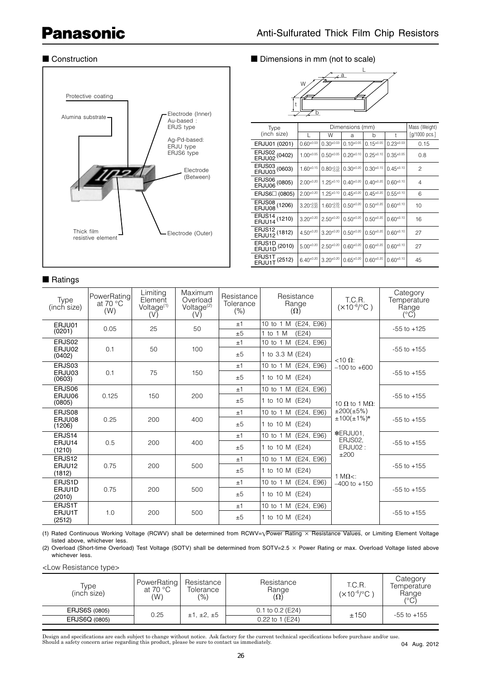# **Panasonic**



# ■ Ratings

## ■ Construction ■ Dimensions in mm (not to scale)



| Type                                      |                        | Mass (Weight)          |                  |                  |                  |                         |
|-------------------------------------------|------------------------|------------------------|------------------|------------------|------------------|-------------------------|
| (inch size)                               |                        | W                      | a                | b                | t                | $[g/1000 \text{ pcs.}]$ |
| ERJU01 (0201)                             | $0.60^{+0.03}$         | $0.30^{+0.03}$         | $0.10^{+0.05}$   | $0.15^{\pm0.05}$ | $0.23^{\pm0.03}$ | 0.15                    |
| ERJS02 (0402)<br>ERJU02 <sup>(0402)</sup> | $1.00^{+0.05}$         | $0.50^{+0.05}$         | $0.20^{+0.10}$   | $0.25^{\pm0.10}$ | $0.35^{+0.05}$   | 0.8                     |
| ERJS03 (0603)<br>ERJU03 <sup>(0603)</sup> | $1.60^{+0.15}$         | $0.80^{+0.15}_{-0.05}$ | $0.30^{+0.20}$   | $0.30^{+0.15}$   | $0.45^{\pm0.10}$ | 2                       |
| ERJS06 (0805)<br>ERJU06 <sup>(0805)</sup> | $2.00^{+0.20}$         | $1.25^{\pm0.10}$       | $0.40^{+0.20}$   | $0.40^{+0.20}$   | $0.60^{+0.10}$   | 4                       |
| ERJS6□ (0805)                             | $2.00^{+0.20}$         | $1.25^{\pm0.10}$       | $0.45^{\pm0.20}$ | $0.45^{\pm0.20}$ | $0.55^{\pm0.10}$ | 6                       |
| ERJS08 (1206)<br>ERJU08 <sup>(1206)</sup> | $3.20_{-0.20}^{+0.05}$ | $1.60_{-0.15}^{+0.05}$ | $0.50^{+0.20}$   | $0.50^{+0.20}$   | $0.60^{+0.10}$   | 10                      |
| ERJS14 (1210)<br>ERJU14 <sup>(1210)</sup> | $3.20^{+0.20}$         | $2.50^{+0.20}$         | $0.50^{+0.20}$   | $0.50^{+0.20}$   | $0.60^{+0.10}$   | 16                      |
| ERJS12 (1812)<br>ERJU12 <sup>(1812)</sup> | $4.50^{+0.20}$         | $3.20^{+0.20}$         | $0.50^{+0.20}$   | $0.50^{+0.20}$   | $0.60^{+0.10}$   | 27                      |
| ERJS1D (2010)<br>ERJU1D <sup>(2010)</sup> | $5.00^{+0.20}$         | $2.50^{+0.20}$         | $0.60^{+0.20}$   | $0.60^{+0.20}$   | $0.60^{+0.10}$   | 27                      |
| ERJS1T (2512)<br>ERJU1T <sup>(2512)</sup> | $6.40^{+0.20}$         | $3.20^{+0.20}$         | $0.65^{\pm0.20}$ | $0.60^{+0.20}$   | $0.60^{+0.10}$   | 45                      |

| <b>Type</b><br>(inch size) | PowerRating<br>at 70 $\degree$ C<br>(W) | Limiting<br>Element<br>Voltage <sup>(1)</sup><br>(V) | Maximum<br>Overload<br>Voltage <sup>(2)</sup><br>(V) | Resistance<br>Tolerance<br>(%) | Resistance<br>Range<br>$(\Omega)$           | T.C.R.<br>$(x10^{-6}/^{\circ}C)$       | Category<br>Temperature<br>Range<br>$(^{\circ}C)$ |
|----------------------------|-----------------------------------------|------------------------------------------------------|------------------------------------------------------|--------------------------------|---------------------------------------------|----------------------------------------|---------------------------------------------------|
| ERJU01<br>(0201)           | 0.05                                    | 25                                                   | 50                                                   | ±1<br>±5                       | 10 to 1 M (E24, E96)<br>1 to 1 $M$<br>(E24) |                                        | $-55$ to $+125$                                   |
| ERJS02                     |                                         |                                                      |                                                      | ±1                             | 10 to 1 M (E24, E96)                        |                                        |                                                   |
| ERJU02<br>(0402)           | 0.1                                     | 50                                                   | 100                                                  | ±5                             | 1 to 3.3 M (E24)                            | $<10 \Omega$                           | $-55$ to $+155$                                   |
| ERJS03                     |                                         |                                                      | ±1                                                   | 10 to 1 M (E24, E96)           | $-100$ to $+600$                            |                                        |                                                   |
| ERJU03<br>(0603)           | 0.1                                     | 75                                                   | 150                                                  | ±5                             | 1 to 10 M (E24)                             |                                        | $-55$ to $+155$                                   |
| ERJS06                     |                                         |                                                      |                                                      | ±1                             | 10 to 1 M (E24, E96)                        |                                        |                                                   |
| ERJU06<br>0.125<br>(0805)  | 150                                     | 200                                                  | ±5                                                   | 1 to 10 M (E24)                | 10 $\Omega$ to 1 M $\Omega$ :               | $-55$ to $+155$                        |                                                   |
| ERJS08                     |                                         |                                                      | 400                                                  | ±1                             | 10 to 1 M (E24, E96)                        | ±200(±5%)<br>$±100(±1%)*$              | $-55$ to $+155$                                   |
| ERJU08<br>(1206)           | 0.25                                    | 200                                                  |                                                      | ±5                             | 1 to 10 M (E24)                             |                                        |                                                   |
| ERJS14                     |                                         |                                                      |                                                      | ±1                             | 10 to 1 M (E24, E96)                        | *ERJU01.<br>ERJS02.<br>ERJU02:<br>±200 | $-55$ to $+155$                                   |
| ERJU14<br>(1210)           | 0.5                                     | 200                                                  | 400                                                  | ±5                             | 1 to 10 M (E24)                             |                                        |                                                   |
| ERJS12                     |                                         | 500                                                  | ±1                                                   | 10 to 1 M (E24, E96)           | 1 M $\Omega$ <:                             | $-55$ to $+155$                        |                                                   |
| (1812)                     | 0.75<br>200<br>ERJU12                   |                                                      | ±5                                                   | 1 to 10 M (E24)                |                                             |                                        |                                                   |
| ERJS1D                     |                                         |                                                      |                                                      | ±1                             | 10 to 1 M (E24, E96)                        | $-400$ to $+150$                       |                                                   |
| 0.75<br>ERJU1D<br>(2010)   | 200                                     | 500                                                  | ±5                                                   | 1 to 10 M (E24)                |                                             | $-55$ to $+155$                        |                                                   |
| ERJS1T                     |                                         |                                                      |                                                      | ±1                             | 10 to 1 M (E24, E96)                        |                                        |                                                   |
| ERJU1T<br>(2512)           | 1.0                                     | 200                                                  | 500                                                  | ±5                             | 1 to 10 M (E24)                             |                                        | $-55$ to $+155$                                   |

(1) Rated Continuous Working Voltage (RCWV) shall be determined from RCWV=√Power Rating × Resistance Values, or Limiting Element Voltage listed above, whichever less.

(2) Overload (Short-time Overload) Test Voltage (SOTV) shall be determined from SOTV=2.5 × Power Rating or max. Overload Voltage listed above whichever less.

<Low Resistance type>

| Type<br>(inch size)  | PowerRating<br>at 70 $^{\circ}$ C<br>(W) | Resistance<br>Tolerance<br>(%) | Resistance<br>Range<br>$(\Omega)$ | T.C.R.<br>(×10 <sup>-6</sup> /°C ) | Category<br>Temperature<br>Range<br>(°C) |
|----------------------|------------------------------------------|--------------------------------|-----------------------------------|------------------------------------|------------------------------------------|
| <b>ERJS6S (0805)</b> | 0.25                                     | ±1, ±2, ±5                     | $0.1$ to $0.2$ (E24)              | ±150                               | $-55$ to $+155$                          |
| ERJS6Q (0805)        |                                          |                                | 0.22 to 1 (E24)                   |                                    |                                          |

Design and specifications are each subject to change without notice. Ask factory for the current technical specifications before purchase and/or use.<br>Should a safety concern arise regarding this product, please be sure to